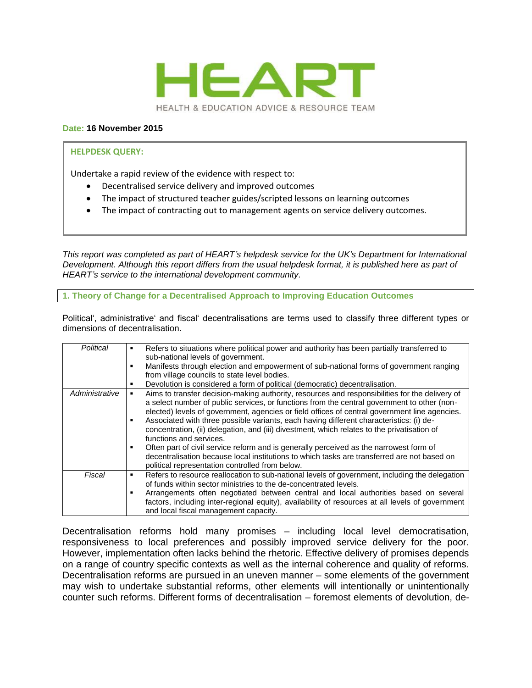

### **Date: 16 November 2015**

#### **HELPDESK QUERY:**

Undertake a rapid review of the evidence with respect to:

- Decentralised service delivery and improved outcomes
- The impact of structured teacher guides/scripted lessons on learning outcomes
- The impact of contracting out to management agents on service delivery outcomes.

*This report was completed as part of HEART's helpdesk service for the UK's Department for International Development. Although this report differs from the usual helpdesk format, it is published here as part of HEART's service to the international development community.*

**1. Theory of Change for a Decentralised Approach to Improving Education Outcomes**

Political', administrative' and fiscal' decentralisations are terms used to classify three different types or dimensions of decentralisation.

| Political      | Refers to situations where political power and authority has been partially transferred to<br>٠<br>sub-national levels of government.<br>Manifests through election and empowerment of sub-national forms of government ranging<br>from village councils to state level bodies.<br>Devolution is considered a form of political (democratic) decentralisation.                                                                                                                                                                                                                                                                                                                                                                                                  |
|----------------|-----------------------------------------------------------------------------------------------------------------------------------------------------------------------------------------------------------------------------------------------------------------------------------------------------------------------------------------------------------------------------------------------------------------------------------------------------------------------------------------------------------------------------------------------------------------------------------------------------------------------------------------------------------------------------------------------------------------------------------------------------------------|
| Administrative | Aims to transfer decision-making authority, resources and responsibilities for the delivery of<br>a select number of public services, or functions from the central government to other (non-<br>elected) levels of government, agencies or field offices of central government line agencies.<br>Associated with three possible variants, each having different characteristics: (i) de-<br>concentration, (ii) delegation, and (iii) divestment, which relates to the privatisation of<br>functions and services.<br>Often part of civil service reform and is generally perceived as the narrowest form of<br>decentralisation because local institutions to which tasks are transferred are not based on<br>political representation controlled from below. |
| Fiscal         | Refers to resource reallocation to sub-national levels of government, including the delegation<br>٠<br>of funds within sector ministries to the de-concentrated levels.<br>Arrangements often negotiated between central and local authorities based on several<br>factors, including inter-regional equity), availability of resources at all levels of government<br>and local fiscal management capacity.                                                                                                                                                                                                                                                                                                                                                    |

Decentralisation reforms hold many promises – including local level democratisation, responsiveness to local preferences and possibly improved service delivery for the poor. However, implementation often lacks behind the rhetoric. Effective delivery of promises depends on a range of country specific contexts as well as the internal coherence and quality of reforms. Decentralisation reforms are pursued in an uneven manner – some elements of the government may wish to undertake substantial reforms, other elements will intentionally or unintentionally counter such reforms. Different forms of decentralisation – foremost elements of devolution, de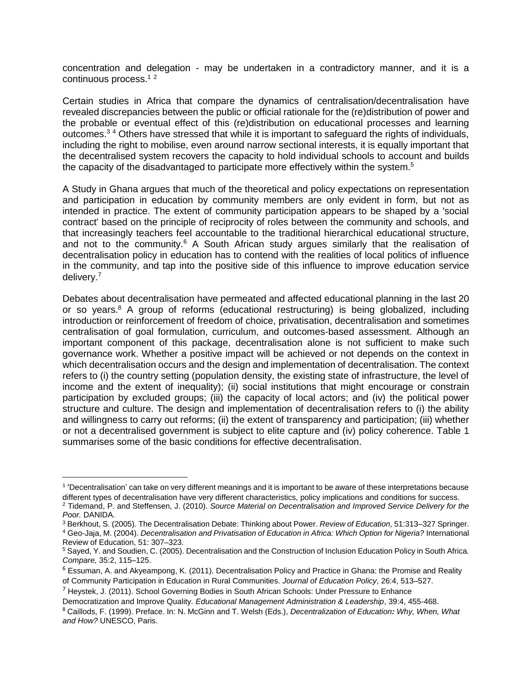concentration and delegation - may be undertaken in a contradictory manner, and it is a continuous process.<sup>12</sup>

Certain studies in Africa that compare the dynamics of centralisation/decentralisation have revealed discrepancies between the public or official rationale for the (re)distribution of power and the probable or eventual effect of this (re)distribution on educational processes and learning outcomes.<sup>3</sup> <sup>4</sup> Others have stressed that while it is important to safeguard the rights of individuals, including the right to mobilise, even around narrow sectional interests, it is equally important that the decentralised system recovers the capacity to hold individual schools to account and builds the capacity of the disadvantaged to participate more effectively within the system.<sup>5</sup>

A Study in Ghana argues that much of the theoretical and policy expectations on representation and participation in education by community members are only evident in form, but not as intended in practice. The extent of community participation appears to be shaped by a 'social contract' based on the principle of reciprocity of roles between the community and schools, and that increasingly teachers feel accountable to the traditional hierarchical educational structure, and not to the community.<sup>6</sup> A South African study argues similarly that the realisation of decentralisation policy in education has to contend with the realities of local politics of influence in the community, and tap into the positive side of this influence to improve education service delivery.<sup>7</sup>

Debates about decentralisation have permeated and affected educational planning in the last 20 or so years.<sup>8</sup> A group of reforms (educational restructuring) is being globalized, including introduction or reinforcement of freedom of choice, privatisation, decentralisation and sometimes centralisation of goal formulation, curriculum, and outcomes-based assessment. Although an important component of this package, decentralisation alone is not sufficient to make such governance work. Whether a positive impact will be achieved or not depends on the context in which decentralisation occurs and the design and implementation of decentralisation. The context refers to (i) the country setting (population density, the existing state of infrastructure, the level of income and the extent of inequality); (ii) social institutions that might encourage or constrain participation by excluded groups; (iii) the capacity of local actors; and (iv) the political power structure and culture. The design and implementation of decentralisation refers to (i) the ability and willingness to carry out reforms; (ii) the extent of transparency and participation; (iii) whether or not a decentralised government is subject to elite capture and (iv) policy coherence. Table 1 summarises some of the basic conditions for effective decentralisation.

<sup>&</sup>lt;sup>1</sup> 'Decentralisation' can take on very different meanings and it is important to be aware of these interpretations because different types of decentralisation have very different characteristics, policy implications and conditions for success.

<sup>2</sup> Tidemand, P. and Steffensen, J. (2010). *Source Material on Decentralisation and Improved Service Delivery for the Poor.* DANIDA.

<sup>3</sup> Berkhout, S. (2005). The Decentralisation Debate: Thinking about Power. *Review of Education,* 51:313–327 Springer. <sup>4</sup> Geo-Jaja, M. (2004). *Decentralisation and Privatisation of Education in Africa: Which Option for Nigeria?* International Review of Education, 51: 307–323.

<sup>5</sup> Sayed, Y. and Soudien, C. (2005). Decentralisation and the Construction of Inclusion Education Policy in South Africa*. Compare,* 35:2, 115–125.

 $6$  [Essuman, A.](javascript:__doLinkPostBack() and [Akyeampong, K. \(2011\). D](javascript:__doLinkPostBack()ecentralisation Policy and Practice in Ghana: the Promise and Reality of Community Participation in Education in Rural Communities. *[Journal of Education](javascript:__doLinkPostBack() Policy*, 26:4, 513–527.

 $7$  Heystek, J. (2011). School Governing Bodies in South African Schools: Under Pressure to Enhance Democratization and Improve Quality*. [Educational Management Administration & Leadership](javascript:__doLinkPostBack()*, 39:4, 455-468.

<sup>8</sup> Caillods, F. (1999). Preface. In: N. McGinn and T. Welsh (Eds.), *Decentralization of Education: Why, When, What and How?* UNESCO, Paris.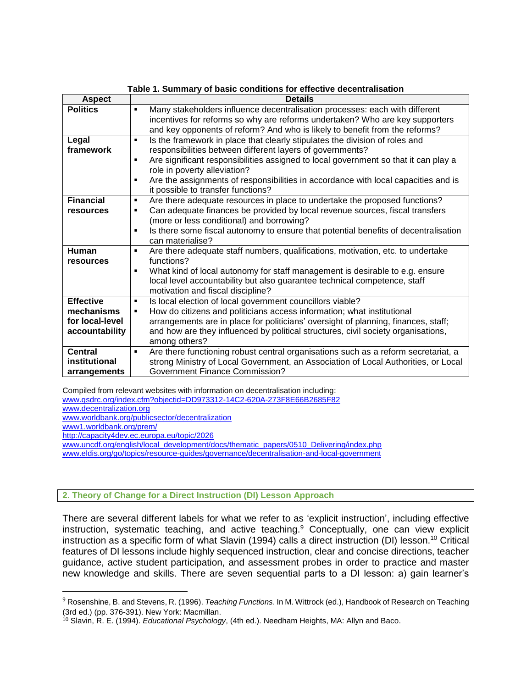| Table 1. Summary of basic conditions for effective decentralisation |                                                                                                       |  |
|---------------------------------------------------------------------|-------------------------------------------------------------------------------------------------------|--|
| <b>Aspect</b>                                                       | <b>Details</b>                                                                                        |  |
| <b>Politics</b>                                                     | Many stakeholders influence decentralisation processes: each with different<br>$\blacksquare$         |  |
|                                                                     | incentives for reforms so why are reforms undertaken? Who are key supporters                          |  |
|                                                                     | and key opponents of reform? And who is likely to benefit from the reforms?                           |  |
| Legal                                                               | Is the framework in place that clearly stipulates the division of roles and<br>$\blacksquare$         |  |
| framework                                                           | responsibilities between different layers of governments?                                             |  |
|                                                                     | Are significant responsibilities assigned to local government so that it can play a<br>$\blacksquare$ |  |
|                                                                     | role in poverty alleviation?                                                                          |  |
|                                                                     | Are the assignments of responsibilities in accordance with local capacities and is<br>٠               |  |
|                                                                     | it possible to transfer functions?                                                                    |  |
| <b>Financial</b>                                                    | Are there adequate resources in place to undertake the proposed functions?<br>$\blacksquare$          |  |
| resources                                                           | Can adequate finances be provided by local revenue sources, fiscal transfers<br>$\blacksquare$        |  |
|                                                                     | (more or less conditional) and borrowing?                                                             |  |
|                                                                     | Is there some fiscal autonomy to ensure that potential benefits of decentralisation<br>$\blacksquare$ |  |
|                                                                     | can materialise?                                                                                      |  |
| Human                                                               | Are there adequate staff numbers, qualifications, motivation, etc. to undertake<br>$\blacksquare$     |  |
| resources                                                           | functions?                                                                                            |  |
|                                                                     | What kind of local autonomy for staff management is desirable to e.g. ensure<br>٠                     |  |
|                                                                     | local level accountability but also guarantee technical competence, staff                             |  |
|                                                                     | motivation and fiscal discipline?                                                                     |  |
| <b>Effective</b>                                                    | Is local election of local government councillors viable?<br>$\blacksquare$                           |  |
| mechanisms                                                          | How do citizens and politicians access information; what institutional<br>٠                           |  |
| for local-level                                                     | arrangements are in place for politicians' oversight of planning, finances, staff;                    |  |
| accountability                                                      | and how are they influenced by political structures, civil society organisations,                     |  |
|                                                                     | among others?                                                                                         |  |
| <b>Central</b>                                                      | Are there functioning robust central organisations such as a reform secretariat, a<br>$\blacksquare$  |  |
| institutional                                                       | strong Ministry of Local Government, an Association of Local Authorities, or Local                    |  |
| arrangements                                                        | <b>Government Finance Commission?</b>                                                                 |  |

Compiled from relevant websites with information on decentralisation including: [www.gsdrc.org/index.cfm?objectid=DD973312-14C2-620A-273F8E66B2685F82](http://www.gsdrc.org/index.cfm?objectid=DD973312-14C2-620A-273F8E66B2685F82)

[www.decentralization.org](http://www.decentralization.org/)

[www.worldbank.org/publicsector/decentralization](http://www.worldbank.org/publicsector/decentralization)

[www1.worldbank.org/prem/](file://///elm/knowledge%20partnerships/HEART%20PEAKS/HELPDESK/HELPDESK%20REPORTS%20AUGUST%202014%20ONWARDS/31.%20Service%20delivery/www1.worldbank.org/prem/)

l

<http://capacity4dev.ec.europa.eu/topic/2026>

[www.uncdf.org/english/local\\_development/docs/thematic\\_papers/0510\\_Delivering/index.php](http://www.uncdf.org/english/local_development/docs/thematic_papers/0510_Delivering/index.php)

[www.eldis.org/go/topics/resource-guides/governance/decentralisation-and-local-government](http://www.eldis.org/go/topics/resource-guides/governance/decentralisation-and-local-government)

# **2. Theory of Change for a Direct Instruction (DI) Lesson Approach**

There are several different labels for what we refer to as 'explicit instruction', including effective instruction, systematic teaching, and active teaching.<sup>9</sup> Conceptually, one can view explicit instruction as a specific form of what Slavin (1994) calls a direct instruction (DI) lesson.<sup>10</sup> Critical features of DI lessons include highly sequenced instruction, clear and concise directions, teacher guidance, active student participation, and assessment probes in order to practice and master new knowledge and skills. There are seven sequential parts to a DI lesson: a) gain learner's

<sup>9</sup> Rosenshine, B. and Stevens, R. (1996). *Teaching Functions*. In M. Wittrock (ed.), Handbook of Research on Teaching (3rd ed.) (pp. 376-391). New York: Macmillan.

<sup>10</sup> Slavin, R. E. (1994). *Educational Psychology*, (4th ed.). Needham Heights, MA: Allyn and Baco.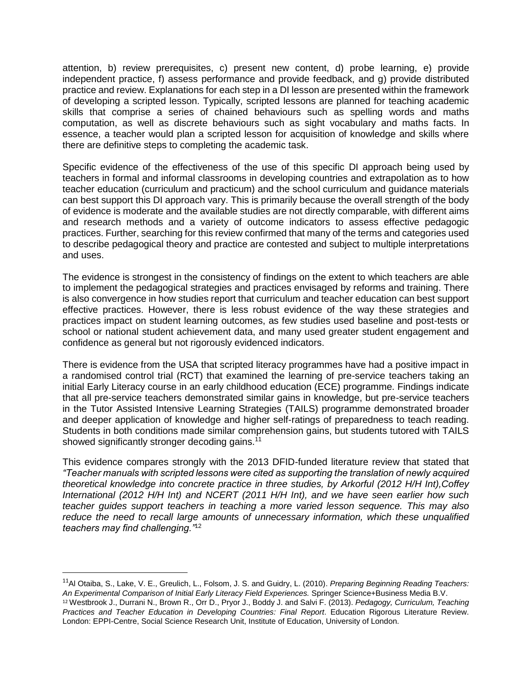attention, b) review prerequisites, c) present new content, d) probe learning, e) provide independent practice, f) assess performance and provide feedback, and g) provide distributed practice and review. Explanations for each step in a DI lesson are presented within the framework of developing a scripted lesson. Typically, scripted lessons are planned for teaching academic skills that comprise a series of chained behaviours such as spelling words and maths computation, as well as discrete behaviours such as sight vocabulary and maths facts. In essence, a teacher would plan a scripted lesson for acquisition of knowledge and skills where there are definitive steps to completing the academic task.

Specific evidence of the effectiveness of the use of this specific DI approach being used by teachers in formal and informal classrooms in developing countries and extrapolation as to how teacher education (curriculum and practicum) and the school curriculum and guidance materials can best support this DI approach vary. This is primarily because the overall strength of the body of evidence is moderate and the available studies are not directly comparable, with different aims and research methods and a variety of outcome indicators to assess effective pedagogic practices. Further, searching for this review confirmed that many of the terms and categories used to describe pedagogical theory and practice are contested and subject to multiple interpretations and uses.

The evidence is strongest in the consistency of findings on the extent to which teachers are able to implement the pedagogical strategies and practices envisaged by reforms and training. There is also convergence in how studies report that curriculum and teacher education can best support effective practices. However, there is less robust evidence of the way these strategies and practices impact on student learning outcomes, as few studies used baseline and post-tests or school or national student achievement data, and many used greater student engagement and confidence as general but not rigorously evidenced indicators.

There is evidence from the USA that scripted literacy programmes have had a positive impact in a randomised control trial (RCT) that examined the learning of pre-service teachers taking an initial Early Literacy course in an early childhood education (ECE) programme. Findings indicate that all pre-service teachers demonstrated similar gains in knowledge, but pre-service teachers in the Tutor Assisted Intensive Learning Strategies (TAILS) programme demonstrated broader and deeper application of knowledge and higher self-ratings of preparedness to teach reading. Students in both conditions made similar comprehension gains, but students tutored with TAILS showed significantly stronger decoding gains.<sup>11</sup>

This evidence compares strongly with the 2013 DFID-funded literature review that stated that *"Teacher manuals with scripted lessons were cited as supporting the translation of newly acquired theoretical knowledge into concrete practice in three studies, by Arkorful (2012 H/H Int),Coffey International (2012 H/H Int) and NCERT (2011 H/H Int), and we have seen earlier how such teacher guides support teachers in teaching a more varied lesson sequence. This may also reduce the need to recall large amounts of unnecessary information, which these unqualified teachers may find challenging."*<sup>12</sup>

<sup>11</sup>Al Otaiba, S., Lake, V. E., Greulich, L., Folsom, J. S. and Guidry, L. (2010). *Preparing Beginning Reading Teachers: An Experimental Comparison of Initial Early Literacy Field Experiences.* Springer Science+Business Media B.V. <sup>12</sup> Westbrook J., Durrani N., Brown R., Orr D., Pryor J., Boddy J. and Salvi F. (2013). *Pedagogy, Curriculum, Teaching Practices and Teacher Education in Developing Countries: Final Report*. Education Rigorous Literature Review. London: EPPI-Centre, Social Science Research Unit, Institute of Education, University of London.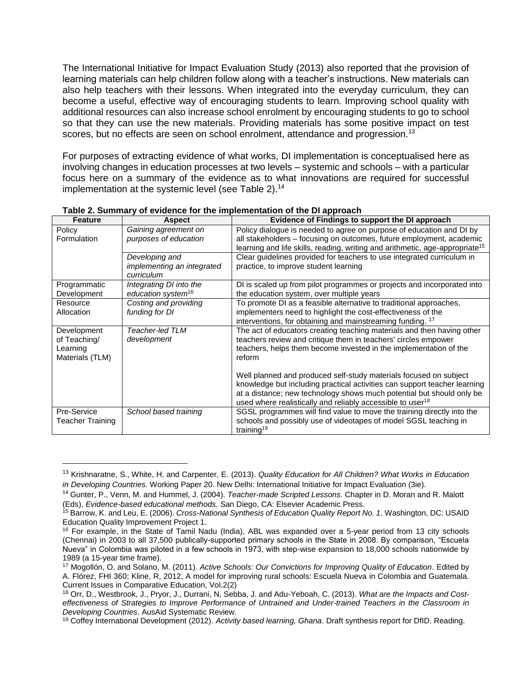The International Initiative for Impact Evaluation Study (2013) also reported that the provision of learning materials can help children follow along with a teacher's instructions. New materials can also help teachers with their lessons. When integrated into the everyday curriculum, they can become a useful, effective way of encouraging students to learn. Improving school quality with additional resources can also increase school enrolment by encouraging students to go to school so that they can use the new materials. Providing materials has some positive impact on test scores, but no effects are seen on school enrolment, attendance and progression.<sup>13</sup>

For purposes of extracting evidence of what works, DI implementation is conceptualised here as involving changes in education processes at two levels – systemic and schools – with a particular focus here on a summary of the evidence as to what innovations are required for successful implementation at the systemic level (see Table 2). 14

| <b>Feature</b>          | <b>Aspect</b>                  | Evidence of Findings to support the DI approach                                          |
|-------------------------|--------------------------------|------------------------------------------------------------------------------------------|
| Policy                  | Gaining agreement on           | Policy dialogue is needed to agree on purpose of education and DI by                     |
| Formulation             | purposes of education          | all stakeholders - focusing on outcomes, future employment, academic                     |
|                         |                                | learning and life skills, reading, writing and arithmetic, age-appropriate <sup>15</sup> |
|                         | Developing and                 | Clear guidelines provided for teachers to use integrated curriculum in                   |
|                         | implementing an integrated     | practice, to improve student learning                                                    |
|                         | curriculum                     |                                                                                          |
| Programmatic            | Integrating DI into the        | DI is scaled up from pilot programmes or projects and incorporated into                  |
| Development             | education system <sup>16</sup> | the education system, over multiple years                                                |
| Resource                | Costing and providing          | To promote DI as a feasible alternative to traditional approaches,                       |
| Allocation              | funding for DI                 | implementers need to highlight the cost-effectiveness of the                             |
|                         |                                | interventions, for obtaining and mainstreaming funding. 17                               |
| Development             | Teacher-led TLM                | The act of educators creating teaching materials and then having other                   |
| of Teaching/            | development                    | teachers review and critique them in teachers' circles empower                           |
| Learning                |                                | teachers, helps them become invested in the implementation of the                        |
| Materials (TLM)         |                                | reform                                                                                   |
|                         |                                |                                                                                          |
|                         |                                | Well planned and produced self-study materials focused on subject                        |
|                         |                                | knowledge but including practical activities can support teacher learning                |
|                         |                                | at a distance; new technology shows much potential but should only be                    |
|                         |                                | used where realistically and reliably accessible to user <sup>18</sup>                   |
| Pre-Service             | School based training          | SGSL programmes will find value to move the training directly into the                   |
| <b>Teacher Training</b> |                                | schools and possibly use of videotapes of model SGSL teaching in                         |
|                         |                                | training <sup>19</sup>                                                                   |

**Table 2. Summary of evidence for the implementation of the DI approach**

<sup>13</sup> Krishnaratne, S., White, H. and Carpenter, E. (2013). *Quality Education for All Children? What Works in Education in Developing Countries.* Working Paper 20. New Delhi: International Initiative for Impact Evaluation (3ie).

<sup>14</sup> Gunter, P., Venn, M. and Hummel, J. (2004). *Teacher-made Scripted Lessons.* Chapter in D. Moran and R. Malott (Eds), *Evidence-based educational methods.* San Diego, CA: Elsevier Academic Press.

<sup>15</sup> Barrow, K. and Leu, E. (2006). *Cross-National Synthesis of Education Quality Report No. 1*. Washington, DC: USAID Education Quality Improvement Project 1.

<sup>16</sup> For example, in the State of Tamil Nadu (India), ABL was expanded over a 5-year period from 13 city schools (Chennai) in 2003 to all 37,500 publically-supported primary schools in the State in 2008. By comparison, "Escuela Nueva" in Colombia was piloted in a few schools in 1973, with step-wise expansion to 18,000 schools nationwide by 1989 (a 15-year time frame).

<sup>17</sup> Mogollón, O. and Solano, M. (2011). *Active Schools: Our Convictions for Improving Quality of Education*. Edited by A. Flórez, FHI 360; Kline, R, 2012, A model for improving rural schools: Escuela Nueva in Colombia and Guatemala. Current Issues in Comparative Education, Vol.2(2)

<sup>18</sup> Orr, D., Westbrook, J., Pryor, J., Durrani, N, Sebba, J. and Adu-Yeboah, C. (2013). *What are the Impacts and Costeffectiveness of Strategies to Improve Performance of Untrained and Under-trained Teachers in the Classroom in Developing Countries*. AusAid Systematic Review.

<sup>19</sup> Coffey International Development (2012). *Activity based learning, Ghana*. Draft synthesis report for DfID. Reading.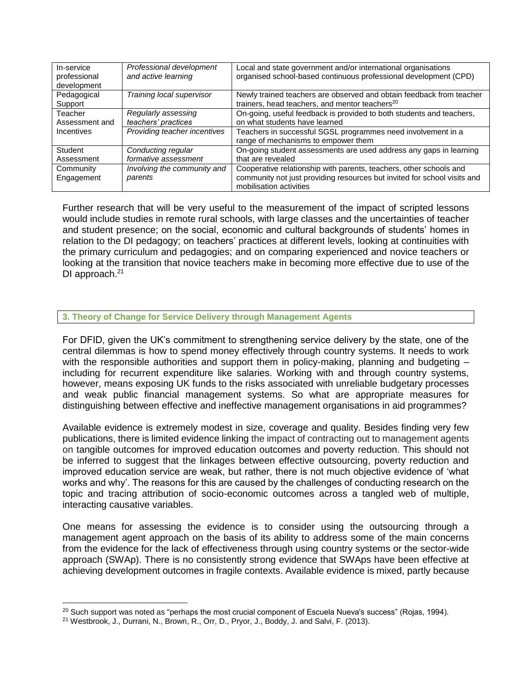| In-service<br>professional<br>development | Professional development<br>and active learning | Local and state government and/or international organisations<br>organised school-based continuous professional development (CPD)                                         |
|-------------------------------------------|-------------------------------------------------|---------------------------------------------------------------------------------------------------------------------------------------------------------------------------|
| Pedagogical<br>Support                    | Training local supervisor                       | Newly trained teachers are observed and obtain feedback from teacher<br>trainers, head teachers, and mentor teachers <sup>20</sup>                                        |
| Teacher<br>Assessment and                 | Regularly assessing<br>teachers' practices      | On-going, useful feedback is provided to both students and teachers,<br>on what students have learned                                                                     |
| Incentives                                | Providing teacher incentives                    | Teachers in successful SGSL programmes need involvement in a<br>range of mechanisms to empower them                                                                       |
| Student                                   | Conducting regular                              | On-going student assessments are used address any gaps in learning                                                                                                        |
| Assessment                                | formative assessment                            | that are revealed                                                                                                                                                         |
| Community<br>Engagement                   | Involving the community and<br>parents          | Cooperative relationship with parents, teachers, other schools and<br>community not just providing resources but invited for school visits and<br>mobilisation activities |

Further research that will be very useful to the measurement of the impact of scripted lessons would include studies in remote rural schools, with large classes and the uncertainties of teacher and student presence; on the social, economic and cultural backgrounds of students' homes in relation to the DI pedagogy; on teachers' practices at different levels, looking at continuities with the primary curriculum and pedagogies; and on comparing experienced and novice teachers or looking at the transition that novice teachers make in becoming more effective due to use of the DI approach. $21$ 

## **3. Theory of Change for Service Delivery through Management Agents**

For DFID, given the UK's commitment to strengthening service delivery by the state, one of the central dilemmas is how to spend money effectively through country systems. It needs to work with the responsible authorities and support them in policy-making, planning and budgeting – including for recurrent expenditure like salaries. Working with and through country systems, however, means exposing UK funds to the risks associated with unreliable budgetary processes and weak public financial management systems. So what are appropriate measures for distinguishing between effective and ineffective management organisations in aid programmes?

Available evidence is extremely modest in size, coverage and quality. Besides finding very few publications, there is limited evidence linking the impact of contracting out to management agents on tangible outcomes for improved education outcomes and poverty reduction. This should not be inferred to suggest that the linkages between effective outsourcing, poverty reduction and improved education service are weak, but rather, there is not much objective evidence of 'what works and why'. The reasons for this are caused by the challenges of conducting research on the topic and tracing attribution of socio-economic outcomes across a tangled web of multiple, interacting causative variables.

One means for assessing the evidence is to consider using the outsourcing through a management agent approach on the basis of its ability to address some of the main concerns from the evidence for the lack of effectiveness through using country systems or the sector-wide approach (SWAp). There is no consistently strong evidence that SWAps have been effective at achieving development outcomes in fragile contexts. Available evidence is mixed, partly because

 $\overline{a}$ 

 $20$  Such support was noted as "perhaps the most crucial component of Escuela Nueva's success" (Rojas, 1994).

<sup>21</sup> Westbrook, J., Durrani, N., Brown, R., Orr, D., Pryor, J., Boddy, J. and Salvi, F. (2013).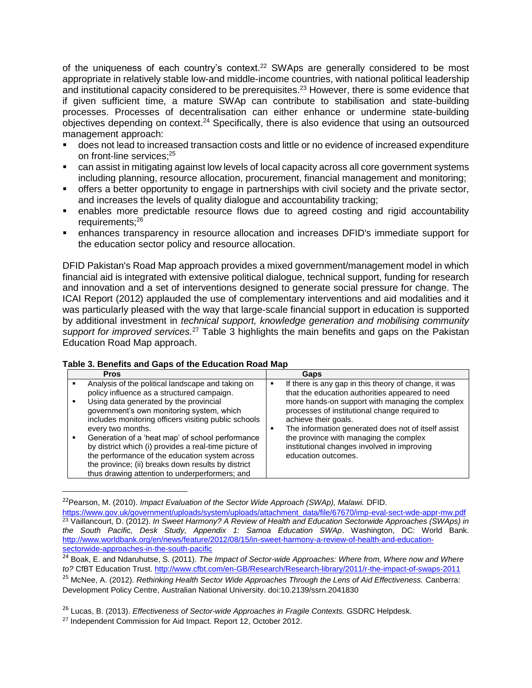of the uniqueness of each country's context.<sup>22</sup> SWAps are generally considered to be most appropriate in relatively stable low-and middle-income countries, with national political leadership and institutional capacity considered to be prerequisites.<sup>23</sup> However, there is some evidence that if given sufficient time, a mature SWAp can contribute to stabilisation and state-building processes. Processes of decentralisation can either enhance or undermine state-building objectives depending on context.<sup>24</sup> Specifically, there is also evidence that using an outsourced management approach:

- does not lead to increased transaction costs and little or no evidence of increased expenditure on front-line services; 25
- can assist in mitigating against low levels of local capacity across all core government systems including planning, resource allocation, procurement, financial management and monitoring;
- offers a better opportunity to engage in partnerships with civil society and the private sector, and increases the levels of quality dialogue and accountability tracking;
- enables more predictable resource flows due to agreed costing and rigid accountability requirements; 26
- enhances transparency in resource allocation and increases DFID's immediate support for the education sector policy and resource allocation.

DFID Pakistan's Road Map approach provides a mixed government/management model in which financial aid is integrated with extensive political dialogue, technical support, funding for research and innovation and a set of interventions designed to generate social pressure for change. The ICAI Report (2012) applauded the use of complementary interventions and aid modalities and it was particularly pleased with the way that large-scale financial support in education is supported by additional investment in *technical support, knowledge generation and mobilising community support for improved services.*<sup>27</sup> Table 3 highlights the main benefits and gaps on the Pakistan Education Road Map approach.

| <b>Pros</b>                                           | Gaps                                                 |
|-------------------------------------------------------|------------------------------------------------------|
| Analysis of the political landscape and taking on     | If there is any gap in this theory of change, it was |
| policy influence as a structured campaign.            | ٠                                                    |
| Using data generated by the provincial                | that the education authorities appeared to need      |
| government's own monitoring system, which             | more hands-on support with managing the complex      |
| includes monitoring officers visiting public schools  | processes of institutional change required to        |
| every two months.                                     | achieve their goals.                                 |
| Generation of a 'heat map' of school performance      | The information generated does not of itself assist  |
| by district which (i) provides a real-time picture of | ٠                                                    |
| the performance of the education system across        | the province with managing the complex               |
| the province; (ii) breaks down results by district    | institutional changes involved in improving          |
| thus drawing attention to underperformers; and        | education outcomes.                                  |

## **Table 3. Benefits and Gaps of the Education Road Map**

<sup>22</sup>Pearson, M. (2010). *Impact Evaluation of the Sector Wide Approach (SWAp), Malawi.* DFID.

[https://www.gov.uk/government/uploads/system/uploads/attachment\\_data/file/67670/imp-eval-sect-wde-appr-mw.pdf](https://www.gov.uk/government/uploads/system/uploads/attachment_data/file/67670/imp-eval-sect-wde-appr-mw.pdf) <sup>23</sup> Vaillancourt, D. (2012). *In Sweet Harmony? A Review of Health and Education Sectorwide Approaches (SWAps) in the South Pacific, Desk Study, Appendix 1: Samoa Education SWAp*. Washington, DC: World Bank. [http://www.worldbank.org/en/news/feature/2012/08/15/in-sweet-harmony-a-review-of-health-and-education](http://www.worldbank.org/en/news/feature/2012/08/15/in-sweet-harmony-a-review-of-health-and-education-sectorwide-approaches-in-the-south-pacific)[sectorwide-approaches-in-the-south-pacific](http://www.worldbank.org/en/news/feature/2012/08/15/in-sweet-harmony-a-review-of-health-and-education-sectorwide-approaches-in-the-south-pacific)

<sup>24</sup> Boak, E. and Ndaruhutse, S. (2011). *The Impact of Sector-wide Approaches: Where from, Where now and Where to?* CfBT Education Trust.<http://www.cfbt.com/en-GB/Research/Research-library/2011/r-the-impact-of-swaps-2011> <sup>25</sup> McNee, A. (2012). *Rethinking Health Sector Wide Approaches Through the Lens of Aid Effectiveness.* Canberra: Development Policy Centre, Australian National University. doi:10.2139/ssrn.2041830

<sup>26</sup> Lucas, B. (2013). *Effectiveness of Sector-wide Approaches in Fragile Contexts.* GSDRC Helpdesk.

<sup>&</sup>lt;sup>27</sup> Independent Commission for Aid Impact. Report 12, October 2012.